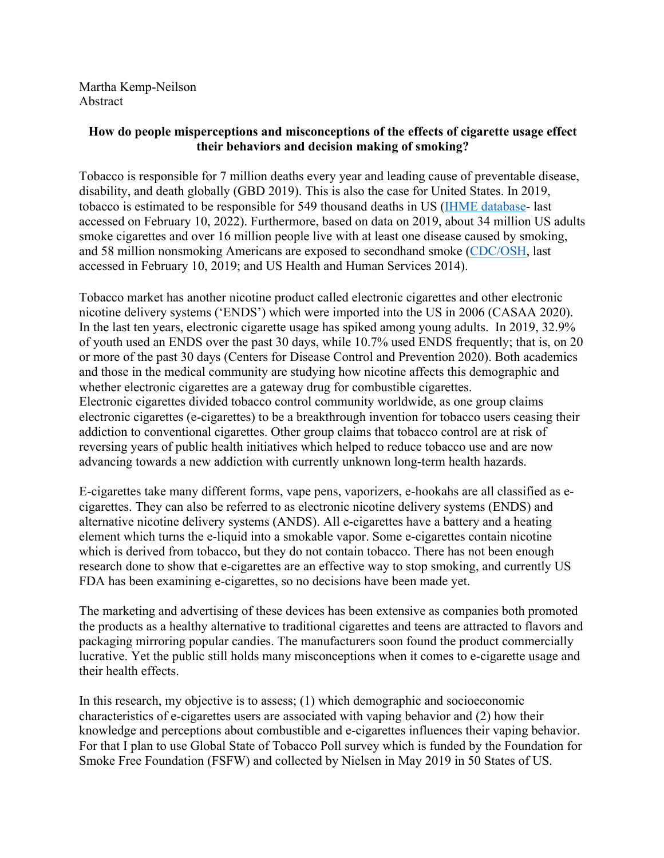Martha Kemp-Neilson Abstract

## **How do people misperceptions and misconceptions of the effects of cigarette usage effect their behaviors and decision making of smoking?**

Tobacco is responsible for 7 million deaths every year and leading cause of preventable disease, disability, and death globally (GBD 2019). This is also the case for United States. In 2019, tobacco is estimated to be responsible for 549 thousand deaths in US (IHME database- last accessed on February 10, 2022). Furthermore, based on data on 2019, about 34 million US adults smoke cigarettes and over 16 million people live with at least one disease caused by smoking, and 58 million nonsmoking Americans are exposed to secondhand smoke (CDC/OSH, last accessed in February 10, 2019; and US Health and Human Services 2014).

Tobacco market has another nicotine product called electronic cigarettes and other electronic nicotine delivery systems ('ENDS') which were imported into the US in 2006 (CASAA 2020). In the last ten years, electronic cigarette usage has spiked among young adults. In 2019, 32.9% of youth used an ENDS over the past 30 days, while 10.7% used ENDS frequently; that is, on 20 or more of the past 30 days (Centers for Disease Control and Prevention 2020). Both academics and those in the medical community are studying how nicotine affects this demographic and whether electronic cigarettes are a gateway drug for combustible cigarettes. Electronic cigarettes divided tobacco control community worldwide, as one group claims electronic cigarettes (e-cigarettes) to be a breakthrough invention for tobacco users ceasing their addiction to conventional cigarettes. Other group claims that tobacco control are at risk of reversing years of public health initiatives which helped to reduce tobacco use and are now advancing towards a new addiction with currently unknown long-term health hazards.

E-cigarettes take many different forms, vape pens, vaporizers, e-hookahs are all classified as ecigarettes. They can also be referred to as electronic nicotine delivery systems (ENDS) and alternative nicotine delivery systems (ANDS). All e-cigarettes have a battery and a heating element which turns the e-liquid into a smokable vapor. Some e-cigarettes contain nicotine which is derived from tobacco, but they do not contain tobacco. There has not been enough research done to show that e-cigarettes are an effective way to stop smoking, and currently US FDA has been examining e-cigarettes, so no decisions have been made yet.

The marketing and advertising of these devices has been extensive as companies both promoted the products as a healthy alternative to traditional cigarettes and teens are attracted to flavors and packaging mirroring popular candies. The manufacturers soon found the product commercially lucrative. Yet the public still holds many misconceptions when it comes to e-cigarette usage and their health effects.

In this research, my objective is to assess; (1) which demographic and socioeconomic characteristics of e-cigarettes users are associated with vaping behavior and (2) how their knowledge and perceptions about combustible and e-cigarettes influences their vaping behavior. For that I plan to use Global State of Tobacco Poll survey which is funded by the Foundation for Smoke Free Foundation (FSFW) and collected by Nielsen in May 2019 in 50 States of US.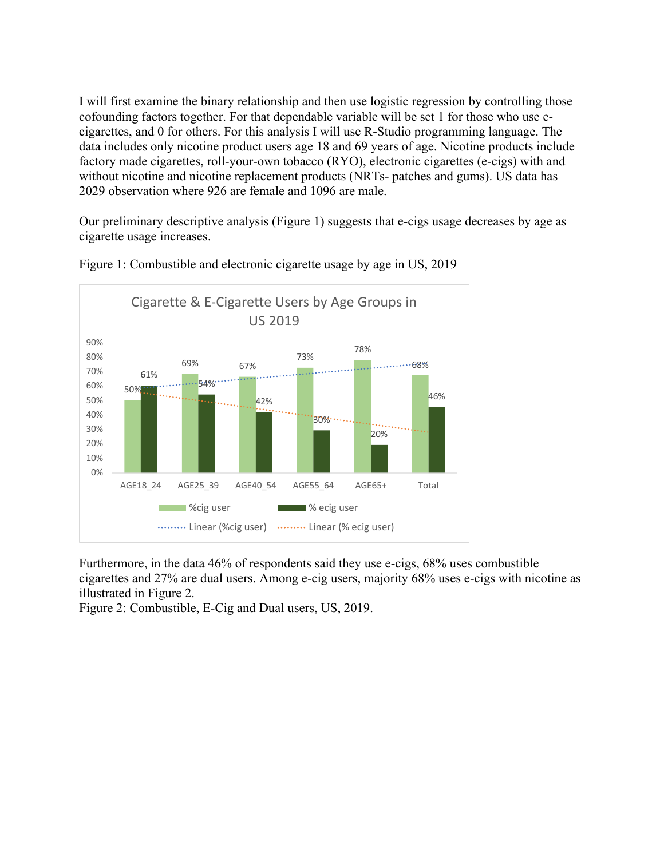I will first examine the binary relationship and then use logistic regression by controlling those cofounding factors together. For that dependable variable will be set 1 for those who use ecigarettes, and 0 for others. For this analysis I will use R-Studio programming language. The data includes only nicotine product users age 18 and 69 years of age. Nicotine products include factory made cigarettes, roll-your-own tobacco (RYO), electronic cigarettes (e-cigs) with and without nicotine and nicotine replacement products (NRTs- patches and gums). US data has 2029 observation where 926 are female and 1096 are male.

Our preliminary descriptive analysis (Figure 1) suggests that e-cigs usage decreases by age as cigarette usage increases.



Figure 1: Combustible and electronic cigarette usage by age in US, 2019

Furthermore, in the data 46% of respondents said they use e-cigs, 68% uses combustible cigarettes and 27% are dual users. Among e-cig users, majority 68% uses e-cigs with nicotine as illustrated in Figure 2.

Figure 2: Combustible, E-Cig and Dual users, US, 2019.